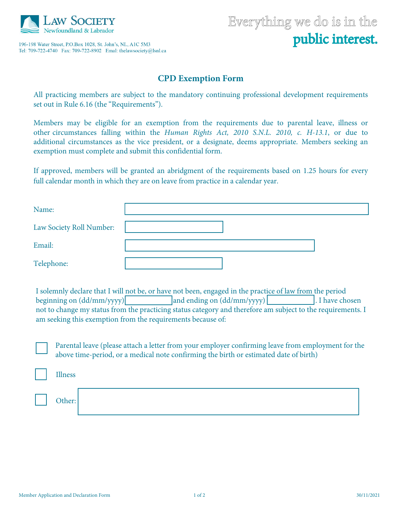

196-198 Water Street, P.O.Box 1028, St. John's, NL, A1C 5M3 

## **CPD Exemption Form**

All practicing members are subject to the mandatory continuing professional development requirements set out in Rule 6.16 (the "Requirements").

Members may be eligible for an exemption from the requirements due to parental leave, illness or other circumstances falling within the *Human Rights Act, 2010 S.N.L. 2010, c. H-13.1*, or due to additional circumstances as the vice president, or a designate, deems appropriate. Members seeking an exemption must complete and submit this confidential form.

If approved, members will be granted an abridgment of the requirements based on 1.25 hours for every full calendar month in which they are on leave from practice in a calendar year.

| Name:                    |  |
|--------------------------|--|
| Law Society Roll Number: |  |
| Email:                   |  |
| Telephone:               |  |

I solemnly declare that I will not be, or have not been, engaged in the practice of law from the period beginning on  $(dd/mm/yyy)$  and ending on  $(dd/mm/yyyy)$  . I have chosen not to change my status from the practicing status category and therefore am subject to the requirements. I am seeking this exemption from the requirements because of:

Parental leave (please attach a letter from your employer confirming leave from employment for the above time-period, or a medical note confirming the birth or estimated date of birth)

Illness

Other: